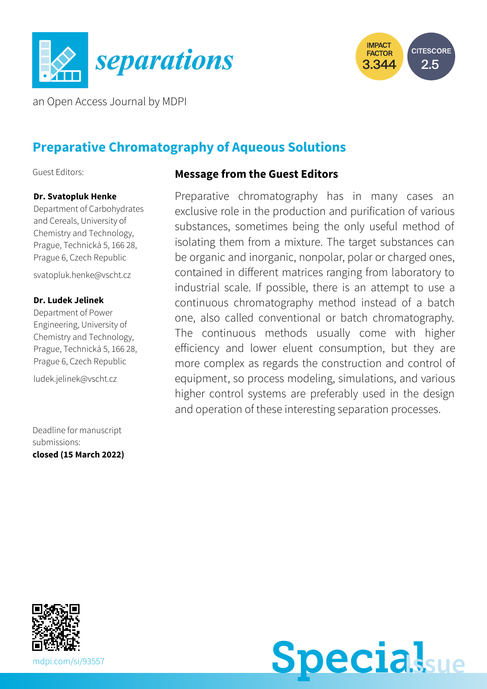



an Open Access Journal by MDPI

# **Preparative Chromatography of Aqueous Solutions**

Guest Editors:

#### **Dr. Svatopluk Henke**

Department of Carbohydrates and Cereals, University of Chemistry and Technology, Prague, Technická 5, 166 28, Prague 6, Czech Republic

[svatopluk.henke@vscht.cz](mailto:svatopluk.henke@vscht.cz)

#### **Dr. Ludek Jelinek**

Department of Power Engineering, University of Chemistry and Technology, Prague, Technická 5, 166 28, Prague 6, Czech Republic

[ludek.jelinek@vscht.cz](mailto:ludek.jelinek@vscht.cz)

Deadline for manuscript submissions: **closed (15 March 2022)**

#### **Message from the Guest Editors**

Preparative chromatography has in many cases an exclusive role in the production and purification of various substances, sometimes being the only useful method of isolating them from a mixture. The target substances can be organic and inorganic, nonpolar, polar or charged ones, contained in different matrices ranging from laboratory to industrial scale. If possible, there is an attempt to use a continuous chromatography method instead of a batch one, also called conventional or batch chromatography. The continuous methods usually come with higher efficiency and lower eluent consumption, but they are more complex as regards the construction and control of equipment, so process modeling, simulations, and various higher control systems are preferably used in the design and operation of these interesting separation processes.



**Special**sue